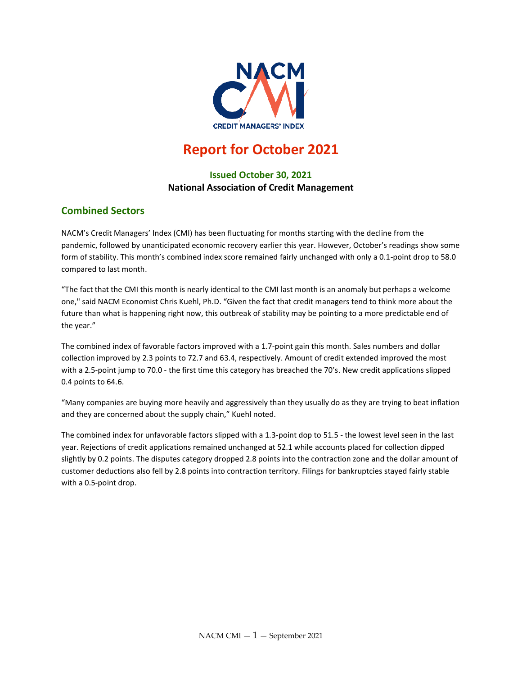

# **Report for October 2021**

# **Issued October 30, 2021 National Association of Credit Management**

## **Combined Sectors**

NACM's Credit Managers' Index (CMI) has been fluctuating for months starting with the decline from the pandemic, followed by unanticipated economic recovery earlier this year. However, October's readings show some form of stability. This month's combined index score remained fairly unchanged with only a 0.1-point drop to 58.0 compared to last month.

"The fact that the CMI this month is nearly identical to the CMI last month is an anomaly but perhaps a welcome one," said NACM Economist Chris Kuehl, Ph.D. "Given the fact that credit managers tend to think more about the future than what is happening right now, this outbreak of stability may be pointing to a more predictable end of the year."

The combined index of favorable factors improved with a 1.7-point gain this month. Sales numbers and dollar collection improved by 2.3 points to 72.7 and 63.4, respectively. Amount of credit extended improved the most with a 2.5-point jump to 70.0 - the first time this category has breached the 70's. New credit applications slipped 0.4 points to 64.6.

"Many companies are buying more heavily and aggressively than they usually do as they are trying to beat inflation and they are concerned about the supply chain," Kuehl noted.

The combined index for unfavorable factors slipped with a 1.3-point dop to 51.5 - the lowest level seen in the last year. Rejections of credit applications remained unchanged at 52.1 while accounts placed for collection dipped slightly by 0.2 points. The disputes category dropped 2.8 points into the contraction zone and the dollar amount of customer deductions also fell by 2.8 points into contraction territory. Filings for bankruptcies stayed fairly stable with a 0.5-point drop.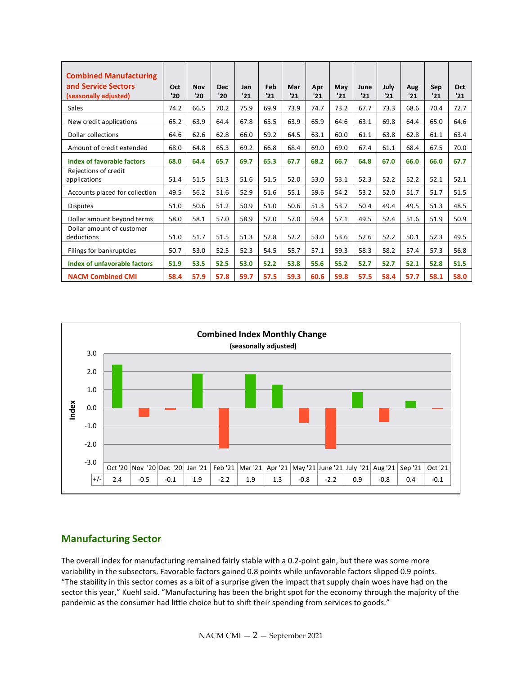| <b>Combined Manufacturing</b><br>and Service Sectors<br>(seasonally adjusted) | Oct<br>'20 | <b>Nov</b><br>'20 | <b>Dec</b><br>'20 | Jan<br>'21 | Feb<br>'21 | Mar<br>'21 | Apr<br>'21 | May<br>'21 | June<br>'21 | July<br>'21 | Aug<br>'21 | Sep<br>'21 | Oct<br>'21 |
|-------------------------------------------------------------------------------|------------|-------------------|-------------------|------------|------------|------------|------------|------------|-------------|-------------|------------|------------|------------|
| <b>Sales</b>                                                                  | 74.2       | 66.5              | 70.2              | 75.9       | 69.9       | 73.9       | 74.7       | 73.2       | 67.7        | 73.3        | 68.6       | 70.4       | 72.7       |
| New credit applications                                                       | 65.2       | 63.9              | 64.4              | 67.8       | 65.5       | 63.9       | 65.9       | 64.6       | 63.1        | 69.8        | 64.4       | 65.0       | 64.6       |
| Dollar collections                                                            | 64.6       | 62.6              | 62.8              | 66.0       | 59.2       | 64.5       | 63.1       | 60.0       | 61.1        | 63.8        | 62.8       | 61.1       | 63.4       |
| Amount of credit extended                                                     | 68.0       | 64.8              | 65.3              | 69.2       | 66.8       | 68.4       | 69.0       | 69.0       | 67.4        | 61.1        | 68.4       | 67.5       | 70.0       |
| Index of favorable factors                                                    | 68.0       | 64.4              | 65.7              | 69.7       | 65.3       | 67.7       | 68.2       | 66.7       | 64.8        | 67.0        | 66.0       | 66.0       | 67.7       |
| Rejections of credit<br>applications                                          | 51.4       | 51.5              | 51.3              | 51.6       | 51.5       | 52.0       | 53.0       | 53.1       | 52.3        | 52.2        | 52.2       | 52.1       | 52.1       |
| Accounts placed for collection                                                | 49.5       | 56.2              | 51.6              | 52.9       | 51.6       | 55.1       | 59.6       | 54.2       | 53.2        | 52.0        | 51.7       | 51.7       | 51.5       |
| <b>Disputes</b>                                                               | 51.0       | 50.6              | 51.2              | 50.9       | 51.0       | 50.6       | 51.3       | 53.7       | 50.4        | 49.4        | 49.5       | 51.3       | 48.5       |
| Dollar amount beyond terms                                                    | 58.0       | 58.1              | 57.0              | 58.9       | 52.0       | 57.0       | 59.4       | 57.1       | 49.5        | 52.4        | 51.6       | 51.9       | 50.9       |
| Dollar amount of customer<br>deductions                                       | 51.0       | 51.7              | 51.5              | 51.3       | 52.8       | 52.2       | 53.0       | 53.6       | 52.6        | 52.2        | 50.1       | 52.3       | 49.5       |
| Filings for bankruptcies                                                      | 50.7       | 53.0              | 52.5              | 52.3       | 54.5       | 55.7       | 57.1       | 59.3       | 58.3        | 58.2        | 57.4       | 57.3       | 56.8       |
| Index of unfavorable factors                                                  | 51.9       | 53.5              | 52.5              | 53.0       | 52.2       | 53.8       | 55.6       | 55.2       | 52.7        | 52.7        | 52.1       | 52.8       | 51.5       |
| <b>NACM Combined CMI</b>                                                      | 58.4       | 57.9              | 57.8              | 59.7       | 57.5       | 59.3       | 60.6       | 59.8       | 57.5        | 58.4        | 57.7       | 58.1       | 58.0       |



## **Manufacturing Sector**

The overall index for manufacturing remained fairly stable with a 0.2-point gain, but there was some more variability in the subsectors. Favorable factors gained 0.8 points while unfavorable factors slipped 0.9 points. "The stability in this sector comes as a bit of a surprise given the impact that supply chain woes have had on the sector this year," Kuehl said. "Manufacturing has been the bright spot for the economy through the majority of the pandemic as the consumer had little choice but to shift their spending from services to goods."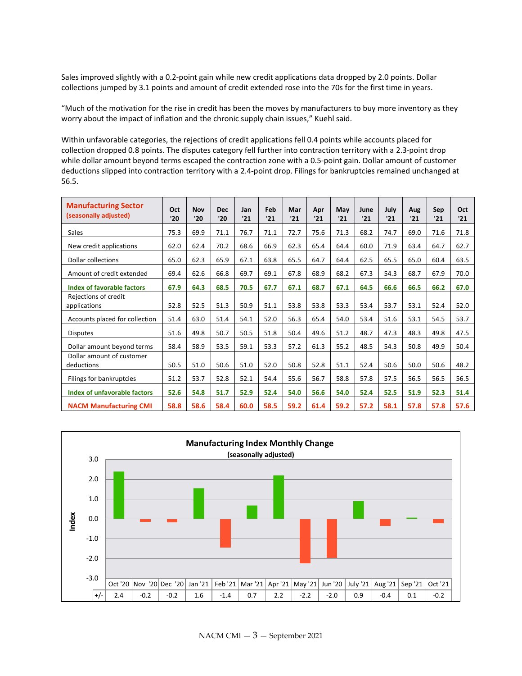Sales improved slightly with a 0.2-point gain while new credit applications data dropped by 2.0 points. Dollar collections jumped by 3.1 points and amount of credit extended rose into the 70s for the first time in years.

"Much of the motivation for the rise in credit has been the moves by manufacturers to buy more inventory as they worry about the impact of inflation and the chronic supply chain issues," Kuehl said.

Within unfavorable categories, the rejections of credit applications fell 0.4 points while accounts placed for collection dropped 0.8 points. The disputes category fell further into contraction territory with a 2.3-point drop while dollar amount beyond terms escaped the contraction zone with a 0.5-point gain. Dollar amount of customer deductions slipped into contraction territory with a 2.4-point drop. Filings for bankruptcies remained unchanged at 56.5.

| <b>Manufacturing Sector</b><br>(seasonally adjusted) | Oct<br>'20 | <b>Nov</b><br>'20 | <b>Dec</b><br>'20 | Jan<br>'21 | Feb<br>'21 | Mar<br>'21 | Apr<br>'21 | May<br>'21 | June<br>'21 | July<br>'21 | Aug<br>'21 | Sep<br>'21 | Oct<br>'21 |
|------------------------------------------------------|------------|-------------------|-------------------|------------|------------|------------|------------|------------|-------------|-------------|------------|------------|------------|
| Sales                                                | 75.3       | 69.9              | 71.1              | 76.7       | 71.1       | 72.7       | 75.6       | 71.3       | 68.2        | 74.7        | 69.0       | 71.6       | 71.8       |
| New credit applications                              | 62.0       | 62.4              | 70.2              | 68.6       | 66.9       | 62.3       | 65.4       | 64.4       | 60.0        | 71.9        | 63.4       | 64.7       | 62.7       |
| Dollar collections                                   | 65.0       | 62.3              | 65.9              | 67.1       | 63.8       | 65.5       | 64.7       | 64.4       | 62.5        | 65.5        | 65.0       | 60.4       | 63.5       |
| Amount of credit extended                            | 69.4       | 62.6              | 66.8              | 69.7       | 69.1       | 67.8       | 68.9       | 68.2       | 67.3        | 54.3        | 68.7       | 67.9       | 70.0       |
| Index of favorable factors                           | 67.9       | 64.3              | 68.5              | 70.5       | 67.7       | 67.1       | 68.7       | 67.1       | 64.5        | 66.6        | 66.5       | 66.2       | 67.0       |
| Rejections of credit<br>applications                 | 52.8       | 52.5              | 51.3              | 50.9       | 51.1       | 53.8       | 53.8       | 53.3       | 53.4        | 53.7        | 53.1       | 52.4       | 52.0       |
| Accounts placed for collection                       | 51.4       | 63.0              | 51.4              | 54.1       | 52.0       | 56.3       | 65.4       | 54.0       | 53.4        | 51.6        | 53.1       | 54.5       | 53.7       |
| <b>Disputes</b>                                      | 51.6       | 49.8              | 50.7              | 50.5       | 51.8       | 50.4       | 49.6       | 51.2       | 48.7        | 47.3        | 48.3       | 49.8       | 47.5       |
| Dollar amount beyond terms                           | 58.4       | 58.9              | 53.5              | 59.1       | 53.3       | 57.2       | 61.3       | 55.2       | 48.5        | 54.3        | 50.8       | 49.9       | 50.4       |
| Dollar amount of customer<br>deductions              | 50.5       | 51.0              | 50.6              | 51.0       | 52.0       | 50.8       | 52.8       | 51.1       | 52.4        | 50.6        | 50.0       | 50.6       | 48.2       |
| Filings for bankruptcies                             | 51.2       | 53.7              | 52.8              | 52.1       | 54.4       | 55.6       | 56.7       | 58.8       | 57.8        | 57.5        | 56.5       | 56.5       | 56.5       |
| <b>Index of unfavorable factors</b>                  | 52.6       | 54.8              | 51.7              | 52.9       | 52.4       | 54.0       | 56.6       | 54.0       | 52.4        | 52.5        | 51.9       | 52.3       | 51.4       |
| <b>NACM Manufacturing CMI</b>                        | 58.8       | 58.6              | 58.4              | 60.0       | 58.5       | 59.2       | 61.4       | 59.2       | 57.2        | 58.1        | 57.8       | 57.8       | 57.6       |

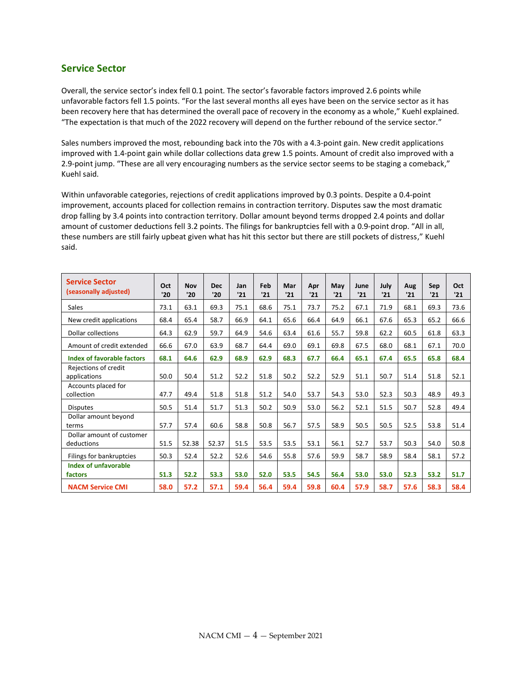#### **Service Sector**

Overall, the service sector's index fell 0.1 point. The sector's favorable factors improved 2.6 points while unfavorable factors fell 1.5 points. "For the last several months all eyes have been on the service sector as it has been recovery here that has determined the overall pace of recovery in the economy as a whole," Kuehl explained. "The expectation is that much of the 2022 recovery will depend on the further rebound of the service sector."

Sales numbers improved the most, rebounding back into the 70s with a 4.3-point gain. New credit applications improved with 1.4-point gain while dollar collections data grew 1.5 points. Amount of credit also improved with a 2.9-point jump. "These are all very encouraging numbers as the service sector seems to be staging a comeback," Kuehl said.

Within unfavorable categories, rejections of credit applications improved by 0.3 points. Despite a 0.4-point improvement, accounts placed for collection remains in contraction territory. Disputes saw the most dramatic drop falling by 3.4 points into contraction territory. Dollar amount beyond terms dropped 2.4 points and dollar amount of customer deductions fell 3.2 points. The filings for bankruptcies fell with a 0.9-point drop. "All in all, these numbers are still fairly upbeat given what has hit this sector but there are still pockets of distress," Kuehl said.

| <b>Service Sector</b><br>(seasonally adjusted) | Oct<br>'20 | <b>Nov</b><br>'20 | <b>Dec</b><br>'20 | Jan<br>'21 | Feb<br>'21 | Mar<br>'21 | Apr<br>'21 | May<br>'21 | June<br>'21 | July<br>'21 | Aug<br>'21 | Sep<br>'21 | Oct<br>'21 |
|------------------------------------------------|------------|-------------------|-------------------|------------|------------|------------|------------|------------|-------------|-------------|------------|------------|------------|
| Sales                                          | 73.1       | 63.1              | 69.3              | 75.1       | 68.6       | 75.1       | 73.7       | 75.2       | 67.1        | 71.9        | 68.1       | 69.3       | 73.6       |
| New credit applications                        | 68.4       | 65.4              | 58.7              | 66.9       | 64.1       | 65.6       | 66.4       | 64.9       | 66.1        | 67.6        | 65.3       | 65.2       | 66.6       |
| <b>Dollar collections</b>                      | 64.3       | 62.9              | 59.7              | 64.9       | 54.6       | 63.4       | 61.6       | 55.7       | 59.8        | 62.2        | 60.5       | 61.8       | 63.3       |
| Amount of credit extended                      | 66.6       | 67.0              | 63.9              | 68.7       | 64.4       | 69.0       | 69.1       | 69.8       | 67.5        | 68.0        | 68.1       | 67.1       | 70.0       |
| Index of favorable factors                     | 68.1       | 64.6              | 62.9              | 68.9       | 62.9       | 68.3       | 67.7       | 66.4       | 65.1        | 67.4        | 65.5       | 65.8       | 68.4       |
| Rejections of credit<br>applications           | 50.0       | 50.4              | 51.2              | 52.2       | 51.8       | 50.2       | 52.2       | 52.9       | 51.1        | 50.7        | 51.4       | 51.8       | 52.1       |
| Accounts placed for<br>collection              | 47.7       | 49.4              | 51.8              | 51.8       | 51.2       | 54.0       | 53.7       | 54.3       | 53.0        | 52.3        | 50.3       | 48.9       | 49.3       |
| <b>Disputes</b>                                | 50.5       | 51.4              | 51.7              | 51.3       | 50.2       | 50.9       | 53.0       | 56.2       | 52.1        | 51.5        | 50.7       | 52.8       | 49.4       |
| Dollar amount beyond<br>terms                  | 57.7       | 57.4              | 60.6              | 58.8       | 50.8       | 56.7       | 57.5       | 58.9       | 50.5        | 50.5        | 52.5       | 53.8       | 51.4       |
| Dollar amount of customer<br>deductions        | 51.5       | 52.38             | 52.37             | 51.5       | 53.5       | 53.5       | 53.1       | 56.1       | 52.7        | 53.7        | 50.3       | 54.0       | 50.8       |
| Filings for bankruptcies                       | 50.3       | 52.4              | 52.2              | 52.6       | 54.6       | 55.8       | 57.6       | 59.9       | 58.7        | 58.9        | 58.4       | 58.1       | 57.2       |
| <b>Index of unfavorable</b><br>factors         | 51.3       | 52.2              | 53.3              | 53.0       | 52.0       | 53.5       | 54.5       | 56.4       | 53.0        | 53.0        | 52.3       | 53.2       | 51.7       |
| <b>NACM Service CMI</b>                        | 58.0       | 57.2              | 57.1              | 59.4       | 56.4       | 59.4       | 59.8       | 60.4       | 57.9        | 58.7        | 57.6       | 58.3       | 58.4       |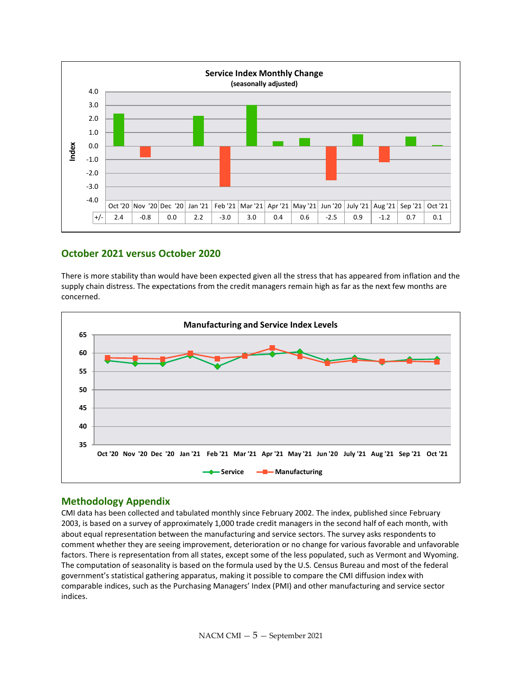

### **October 2021 versus October 2020**

There is more stability than would have been expected given all the stress that has appeared from inflation and the supply chain distress. The expectations from the credit managers remain high as far as the next few months are concerned.



#### **Methodology Appendix**

CMI data has been collected and tabulated monthly since February 2002. The index, published since February 2003, is based on a survey of approximately 1,000 trade credit managers in the second half of each month, with about equal representation between the manufacturing and service sectors. The survey asks respondents to comment whether they are seeing improvement, deterioration or no change for various favorable and unfavorable factors. There is representation from all states, except some of the less populated, such as Vermont and Wyoming. The computation of seasonality is based on the formula used by the U.S. Census Bureau and most of the federal government's statistical gathering apparatus, making it possible to compare the CMI diffusion index with comparable indices, such as the Purchasing Managers' Index (PMI) and other manufacturing and service sector indices.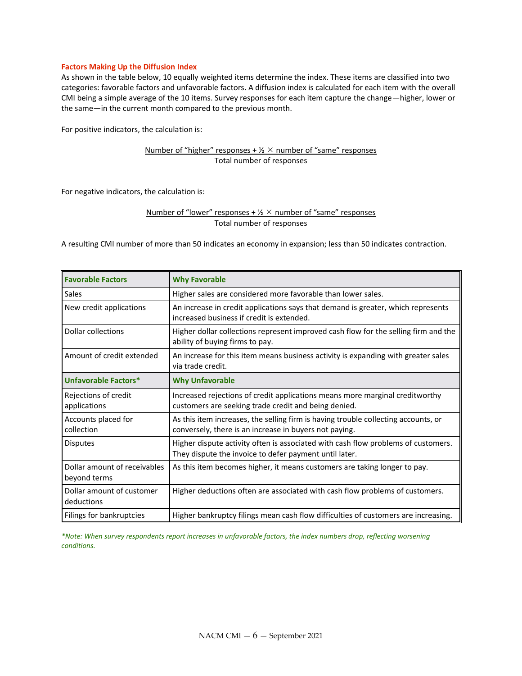#### **Factors Making Up the Diffusion Index**

As shown in the table below, 10 equally weighted items determine the index. These items are classified into two categories: favorable factors and unfavorable factors. A diffusion index is calculated for each item with the overall CMI being a simple average of the 10 items. Survey responses for each item capture the change—higher, lower or the same—in the current month compared to the previous month.

For positive indicators, the calculation is:

#### Number of "higher" responses +  $\frac{1}{2}$   $\times$  number of "same" responses Total number of responses

For negative indicators, the calculation is:

#### Number of "lower" responses +  $\frac{1}{2}$   $\times$  number of "same" responses Total number of responses

A resulting CMI number of more than 50 indicates an economy in expansion; less than 50 indicates contraction.

| <b>Favorable Factors</b>                     | <b>Why Favorable</b>                                                                                                                         |
|----------------------------------------------|----------------------------------------------------------------------------------------------------------------------------------------------|
| <b>Sales</b>                                 | Higher sales are considered more favorable than lower sales.                                                                                 |
| New credit applications                      | An increase in credit applications says that demand is greater, which represents<br>increased business if credit is extended.                |
| Dollar collections                           | Higher dollar collections represent improved cash flow for the selling firm and the<br>ability of buying firms to pay.                       |
| Amount of credit extended                    | An increase for this item means business activity is expanding with greater sales<br>via trade credit.                                       |
| Unfavorable Factors*                         | <b>Why Unfavorable</b>                                                                                                                       |
| Rejections of credit<br>applications         | Increased rejections of credit applications means more marginal creditworthy<br>customers are seeking trade credit and being denied.         |
| Accounts placed for<br>collection            | As this item increases, the selling firm is having trouble collecting accounts, or<br>conversely, there is an increase in buyers not paying. |
| <b>Disputes</b>                              | Higher dispute activity often is associated with cash flow problems of customers.<br>They dispute the invoice to defer payment until later.  |
| Dollar amount of receivables<br>beyond terms | As this item becomes higher, it means customers are taking longer to pay.                                                                    |
| Dollar amount of customer<br>deductions      | Higher deductions often are associated with cash flow problems of customers.                                                                 |
| Filings for bankruptcies                     | Higher bankruptcy filings mean cash flow difficulties of customers are increasing.                                                           |

*\*Note: When survey respondents report increases in unfavorable factors, the index numbers drop, reflecting worsening conditions.*